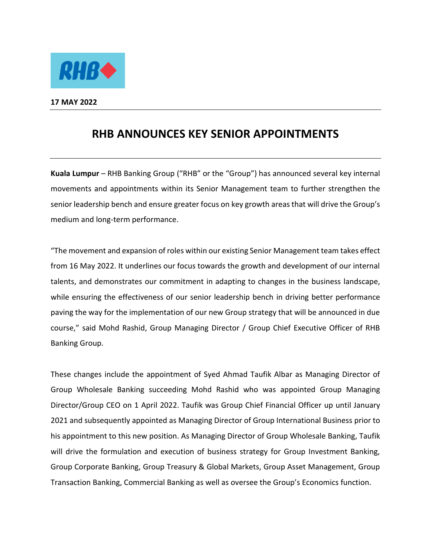

**17 MAY 2022** 

## **RHB ANNOUNCES KEY SENIOR APPOINTMENTS**

**Kuala Lumpur** – RHB Banking Group ("RHB" or the "Group") has announced several key internal movements and appointments within its Senior Management team to further strengthen the senior leadership bench and ensure greater focus on key growth areas that will drive the Group's medium and long-term performance.

"The movement and expansion of roles within our existing Senior Management team takes effect from 16 May 2022. It underlines our focus towards the growth and development of our internal talents, and demonstrates our commitment in adapting to changes in the business landscape, while ensuring the effectiveness of our senior leadership bench in driving better performance paving the way for the implementation of our new Group strategy that will be announced in due course," said Mohd Rashid, Group Managing Director / Group Chief Executive Officer of RHB Banking Group.

These changes include the appointment of Syed Ahmad Taufik Albar as Managing Director of Group Wholesale Banking succeeding Mohd Rashid who was appointed Group Managing Director/Group CEO on 1 April 2022. Taufik was Group Chief Financial Officer up until January 2021 and subsequently appointed as Managing Director of Group International Business prior to his appointment to this new position. As Managing Director of Group Wholesale Banking, Taufik will drive the formulation and execution of business strategy for Group Investment Banking, Group Corporate Banking, Group Treasury & Global Markets, Group Asset Management, Group Transaction Banking, Commercial Banking as well as oversee the Group's Economics function.